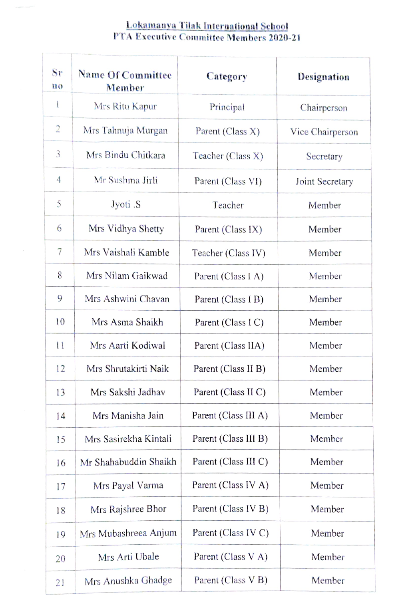## Lokamanya Tilak International School PTA Executive Committee Members 2020-21

| Sr<br>$\mathbf{n}\mathbf{o}$ | <b>Name Of Committee</b><br>Member | Category             | <b>Designation</b> |
|------------------------------|------------------------------------|----------------------|--------------------|
| 1                            | Mrs Ritu Kapur                     | Principal            | Chairperson        |
| $\overline{2}$               | Mrs Tahnuja Murgan                 | Parent (Class X)     | Vice Chairperson   |
| 3                            | Mrs Bindu Chitkara                 | Teacher (Class X)    | Secretary          |
| 4                            | Mr Sushma Jirli                    | Parent (Class VI)    | Joint Secretary    |
| 5                            | Jyoti .S                           | Teacher              | Member             |
| 6                            | Mrs Vidhya Shetty                  | Parent (Class IX)    | Member             |
| 7                            | Mrs Vaishali Kamble                | Teacher (Class IV)   | Member             |
| 8                            | Mrs Nilam Gaikwad                  | Parent (Class I A)   | Member             |
| 9                            | Mrs Ashwini Chavan                 | Parent (Class I B)   | Member             |
| 10                           | Mrs Asma Shaikh                    | Parent (Class I C)   | Member             |
| 11                           | Mrs Aarti Kodiwal                  | Parent (Class IIA)   | Member             |
| 12                           | Mrs Shrutakirti Naik               | Parent (Class II B)  | Member             |
| 13                           | Mrs Sakshi Jadhav                  | Parent (Class II C)  | Member             |
| 14                           | Mrs Manisha Jain                   | Parent (Class III A) | Member             |
| 15                           | Mrs Sasirekha Kintali              | Parent (Class III B) | Member             |
| 16                           | Mr Shahabuddin Shaikh              | Parent (Class III C) | Member             |
| 17                           | Mrs Payal Varma                    | Parent (Class IV A)  | Member             |
| 18                           | Mrs Rajshree Bhor                  | Parent (Class IV B)  | Member             |
| 19                           | Mrs Mubashreea Anjum               | Parent (Class IV C)  | Member             |
| 20                           | Mrs Arti Ubale                     | Parent (Class V A)   | Member             |
| 21                           | Mrs Anushka Ghadge                 | Parent (Class V B)   | Member             |